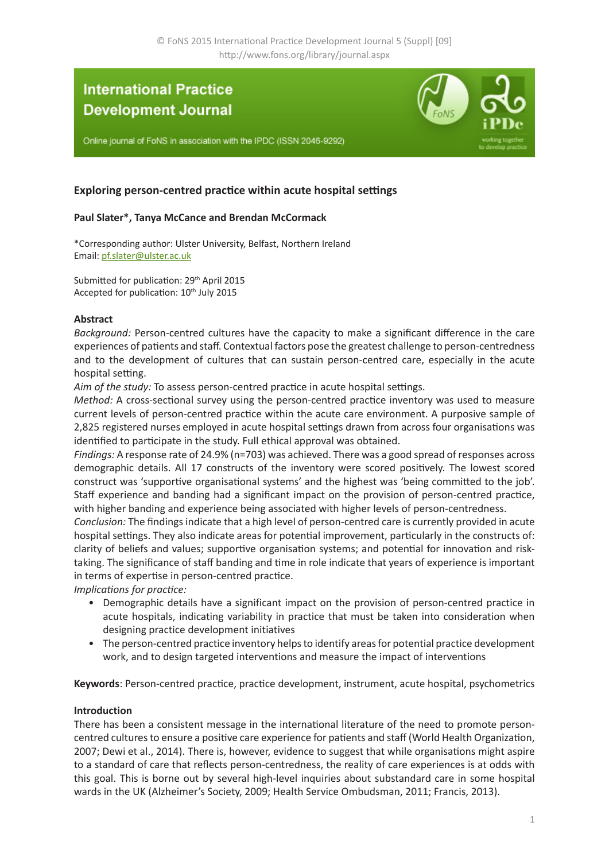# **International Practice Development Journal**

Online journal of FoNS in association with the IPDC (ISSN 2046-9292)

# **Exploring person-centred practice within acute hospital settings**

# **Paul Slater\*, Tanya McCance and Brendan McCormack**

\*Corresponding author: Ulster University, Belfast, Northern Ireland Email: [pf.slater@ulster.ac.uk](mailto:pf.slater%40ulster.ac.uk?subject=IPDJ%20paper)

Submitted for publication: 29<sup>th</sup> April 2015 Accepted for publication: 10<sup>th</sup> July 2015

#### **Abstract**

*Background:* Person-centred cultures have the capacity to make a significant difference in the care experiences of patients and staff. Contextual factors pose the greatest challenge to person-centredness and to the development of cultures that can sustain person-centred care, especially in the acute hospital setting.

*Aim of the study:* To assess person-centred practice in acute hospital settings.

*Method:* A cross-sectional survey using the person-centred practice inventory was used to measure current levels of person-centred practice within the acute care environment. A purposive sample of 2,825 registered nurses employed in acute hospital settings drawn from across four organisations was identified to participate in the study. Full ethical approval was obtained.

*Findings:* A response rate of 24.9% (n=703) was achieved. There was a good spread of responses across demographic details. All 17 constructs of the inventory were scored positively. The lowest scored construct was 'supportive organisational systems' and the highest was 'being committed to the job'. Staff experience and banding had a significant impact on the provision of person-centred practice, with higher banding and experience being associated with higher levels of person-centredness.

*Conclusion:* The findings indicate that a high level of person-centred care is currently provided in acute hospital settings. They also indicate areas for potential improvement, particularly in the constructs of: clarity of beliefs and values; supportive organisation systems; and potential for innovation and risktaking. The significance of staff banding and time in role indicate that years of experience is important in terms of expertise in person-centred practice.

*Implications for practice:*

- Demographic details have a significant impact on the provision of person-centred practice in acute hospitals, indicating variability in practice that must be taken into consideration when designing practice development initiatives
- The person-centred practice inventory helps to identify areas for potential practice development work, and to design targeted interventions and measure the impact of interventions

**Keywords**: Person-centred practice, practice development, instrument, acute hospital, psychometrics

#### **Introduction**

There has been a consistent message in the international literature of the need to promote personcentred cultures to ensure a positive care experience for patients and staff (World Health Organization, 2007; Dewi et al., 2014). There is, however, evidence to suggest that while organisations might aspire to a standard of care that reflects person-centredness, the reality of care experiences is at odds with this goal. This is borne out by several high-level inquiries about substandard care in some hospital wards in the UK (Alzheimer's Society, 2009; Health Service Ombudsman, 2011; Francis, 2013).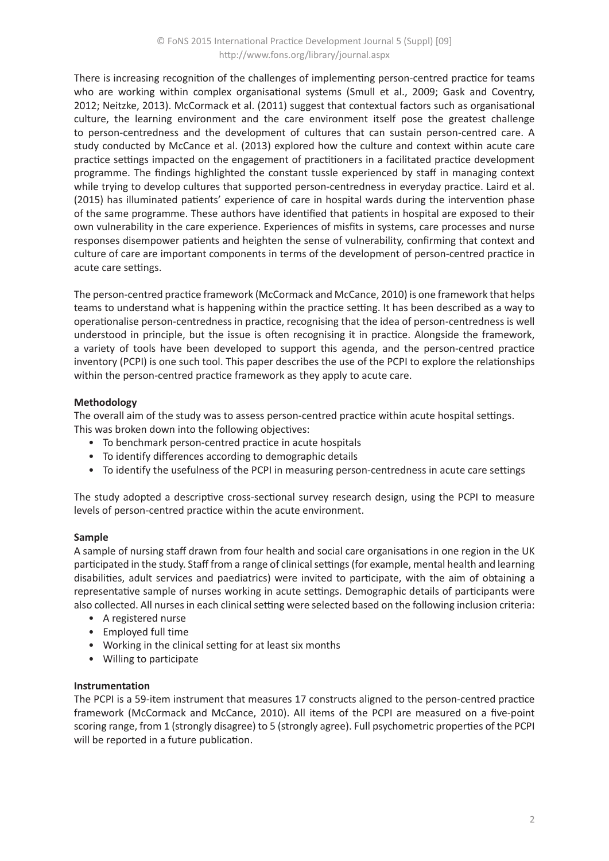There is increasing recognition of the challenges of implementing person-centred practice for teams who are working within complex organisational systems (Smull et al., 2009; Gask and Coventry, 2012; Neitzke, 2013). McCormack et al. (2011) suggest that contextual factors such as organisational culture, the learning environment and the care environment itself pose the greatest challenge to person-centredness and the development of cultures that can sustain person-centred care. A study conducted by McCance et al. (2013) explored how the culture and context within acute care practice settings impacted on the engagement of practitioners in a facilitated practice development programme. The findings highlighted the constant tussle experienced by staff in managing context while trying to develop cultures that supported person-centredness in everyday practice. Laird et al. (2015) has illuminated patients' experience of care in hospital wards during the intervention phase of the same programme. These authors have identified that patients in hospital are exposed to their own vulnerability in the care experience. Experiences of misfits in systems, care processes and nurse responses disempower patients and heighten the sense of vulnerability, confirming that context and culture of care are important components in terms of the development of person-centred practice in acute care settings.

The person-centred practice framework (McCormack and McCance, 2010) is one framework that helps teams to understand what is happening within the practice setting. It has been described as a way to operationalise person-centredness in practice, recognising that the idea of person-centredness is well understood in principle, but the issue is often recognising it in practice. Alongside the framework, a variety of tools have been developed to support this agenda, and the person-centred practice inventory (PCPI) is one such tool. This paper describes the use of the PCPI to explore the relationships within the person-centred practice framework as they apply to acute care.

# **Methodology**

The overall aim of the study was to assess person-centred practice within acute hospital settings. This was broken down into the following objectives:

- To benchmark person-centred practice in acute hospitals
- To identify differences according to demographic details
- To identify the usefulness of the PCPI in measuring person-centredness in acute care settings

The study adopted a descriptive cross-sectional survey research design, using the PCPI to measure levels of person-centred practice within the acute environment.

# **Sample**

A sample of nursing staff drawn from four health and social care organisations in one region in the UK participated in the study. Staff from a range of clinical settings (for example, mental health and learning disabilities, adult services and paediatrics) were invited to participate, with the aim of obtaining a representative sample of nurses working in acute settings. Demographic details of participants were also collected. All nurses in each clinical setting were selected based on the following inclusion criteria:

- A registered nurse
- Employed full time
- Working in the clinical setting for at least six months
- Willing to participate

#### **Instrumentation**

The PCPI is a 59-item instrument that measures 17 constructs aligned to the person-centred practice framework (McCormack and McCance, 2010). All items of the PCPI are measured on a five-point scoring range, from 1 (strongly disagree) to 5 (strongly agree). Full psychometric properties of the PCPI will be reported in a future publication.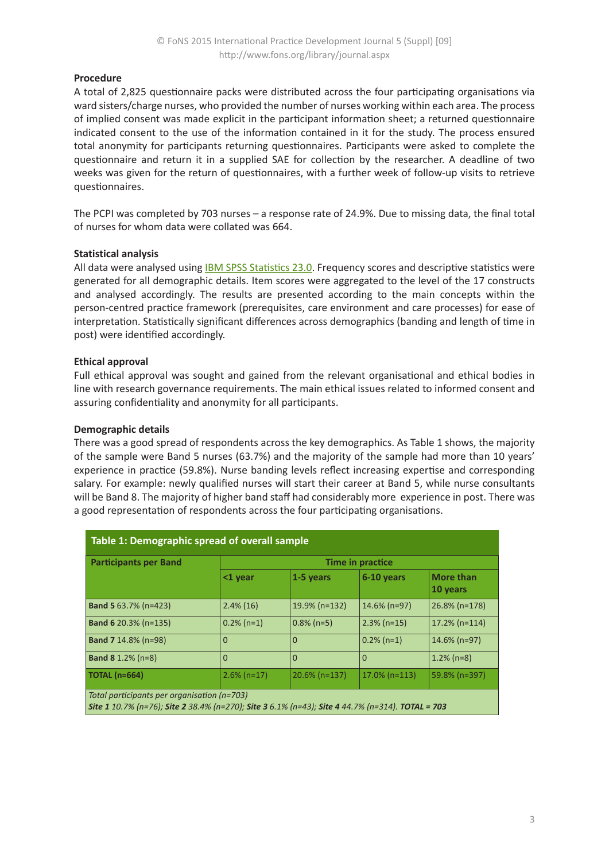# **Procedure**

A total of 2,825 questionnaire packs were distributed across the four participating organisations via ward sisters/charge nurses, who provided the number of nurses working within each area. The process of implied consent was made explicit in the participant information sheet; a returned questionnaire indicated consent to the use of the information contained in it for the study. The process ensured total anonymity for participants returning questionnaires. Participants were asked to complete the questionnaire and return it in a supplied SAE for collection by the researcher. A deadline of two weeks was given for the return of questionnaires, with a further week of follow-up visits to retrieve questionnaires.

The PCPI was completed by 703 nurses – a response rate of 24.9%. Due to missing data, the final total of nurses for whom data were collated was 664.

#### **Statistical analysis**

All data were analysed using **IBM SPSS Statistics 23.0**. Frequency scores and descriptive statistics were generated for all demographic details. Item scores were aggregated to the level of the 17 constructs and analysed accordingly. The results are presented according to the main concepts within the person-centred practice framework (prerequisites, care environment and care processes) for ease of interpretation. Statistically significant differences across demographics (banding and length of time in post) were identified accordingly.

#### **Ethical approval**

Full ethical approval was sought and gained from the relevant organisational and ethical bodies in line with research governance requirements. The main ethical issues related to informed consent and assuring confidentiality and anonymity for all participants.

#### **Demographic details**

There was a good spread of respondents across the key demographics. As Table 1 shows, the majority of the sample were Band 5 nurses (63.7%) and the majority of the sample had more than 10 years' experience in practice (59.8%). Nurse banding levels reflect increasing expertise and corresponding salary. For example: newly qualified nurses will start their career at Band 5, while nurse consultants will be Band 8. The majority of higher band staff had considerably more experience in post. There was a good representation of respondents across the four participating organisations.

| Table 1: Demographic spread of overall sample                                                                                                   |                  |                  |                  |                              |  |  |  |
|-------------------------------------------------------------------------------------------------------------------------------------------------|------------------|------------------|------------------|------------------------------|--|--|--|
| <b>Participants per Band</b>                                                                                                                    | Time in practice |                  |                  |                              |  |  |  |
|                                                                                                                                                 | $<$ 1 year       | 1-5 years        | 6-10 years       | <b>More than</b><br>10 years |  |  |  |
| <b>Band 5</b> 63.7% (n=423)                                                                                                                     | $2.4\%$ (16)     | 19.9% (n=132)    | $14.6\%$ (n=97)  | 26.8% (n=178)                |  |  |  |
| <b>Band 6 20.3% (n=135)</b>                                                                                                                     | $0.2\%$ (n=1)    | $0.8\%$ (n=5)    | $2.3\%$ (n=15)   | $17.2\%$ (n=114)             |  |  |  |
| <b>Band 7 14.8% (n=98)</b>                                                                                                                      | 0                | $\mathbf 0$      | $0.2\%$ (n=1)    | $14.6\%$ (n=97)              |  |  |  |
| <b>Band 8</b> 1.2% $(n=8)$                                                                                                                      | $\Omega$         | $\Omega$         | $\Omega$         | $1.2\%$ (n=8)                |  |  |  |
| <b>TOTAL (n=664)</b>                                                                                                                            | $2.6\%$ (n=17)   | $20.6\%$ (n=137) | $17.0\%$ (n=113) | 59.8% (n=397)                |  |  |  |
| Total participants per organisation (n=703)<br>Site 1 10.7% (n=76); Site 2 38.4% (n=270); Site 3 6.1% (n=43); Site 4 44.7% (n=314). TOTAL = 703 |                  |                  |                  |                              |  |  |  |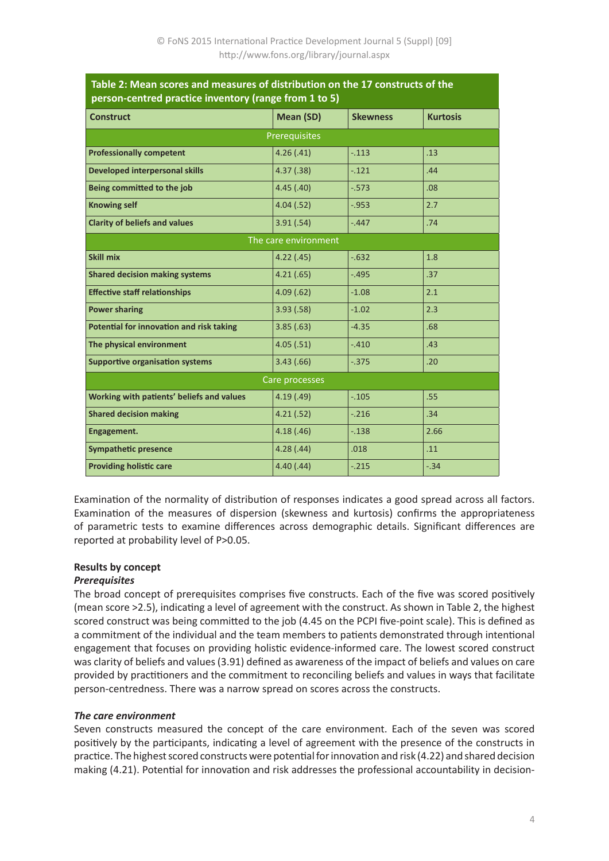| 2. MCan Scores and measures or uischbacion on the 17 constructs or the<br>person-centred practice inventory (range from 1 to 5) |                  |                 |                 |  |  |  |
|---------------------------------------------------------------------------------------------------------------------------------|------------------|-----------------|-----------------|--|--|--|
| <b>Construct</b>                                                                                                                | <b>Mean (SD)</b> | <b>Skewness</b> | <b>Kurtosis</b> |  |  |  |
| Prerequisites                                                                                                                   |                  |                 |                 |  |  |  |
| <b>Professionally competent</b>                                                                                                 | 4.26(.41)        | $-.113$         | .13             |  |  |  |
| <b>Developed interpersonal skills</b>                                                                                           | 4.37(.38)        | $-.121$         | .44             |  |  |  |
| Being committed to the job                                                                                                      | 4.45(.40)        | $-0.573$        | .08             |  |  |  |
| <b>Knowing self</b>                                                                                                             | 4.04(.52)        | $-0.953$        | 2.7             |  |  |  |
| <b>Clarity of beliefs and values</b>                                                                                            | 3.91(.54)        | $-.447$         | .74             |  |  |  |
| The care environment                                                                                                            |                  |                 |                 |  |  |  |
| Skill mix                                                                                                                       | 4.22(.45)        | $-.632$         | 1.8             |  |  |  |
| <b>Shared decision making systems</b>                                                                                           | 4.21(.65)        | $-.495$         | .37             |  |  |  |
| <b>Effective staff relationships</b>                                                                                            | 4.09(.62)        | $-1.08$         | 2.1             |  |  |  |
| <b>Power sharing</b>                                                                                                            | 3.93(.58)        | $-1.02$         | 2.3             |  |  |  |
| Potential for innovation and risk taking                                                                                        | 3.85(.63)        | $-4.35$         | .68             |  |  |  |
| The physical environment                                                                                                        | 4.05(.51)        | $-.410$         | .43             |  |  |  |
| <b>Supportive organisation systems</b>                                                                                          | 3.43(.66)        | $-.375$         | .20             |  |  |  |
| Care processes                                                                                                                  |                  |                 |                 |  |  |  |
| Working with patients' beliefs and values                                                                                       | 4.19(0.49)       | $-.105$         | .55             |  |  |  |
| <b>Shared decision making</b>                                                                                                   | 4.21(.52)        | $-.216$         | .34             |  |  |  |
| Engagement.                                                                                                                     | 4.18(.46)        | $-.138$         | 2.66            |  |  |  |
| <b>Sympathetic presence</b>                                                                                                     | 4.28(.44)        | .018            | .11             |  |  |  |
| <b>Providing holistic care</b>                                                                                                  | 4.40(0.44)       | $-.215$         | $-.34$          |  |  |  |

# **Table 2: Mean scores and measures of distribution on the 17 constructs of the**

Examination of the normality of distribution of responses indicates a good spread across all factors. Examination of the measures of dispersion (skewness and kurtosis) confirms the appropriateness of parametric tests to examine differences across demographic details. Significant differences are reported at probability level of P>0.05.

# **Results by concept**

#### *Prerequisites*

The broad concept of prerequisites comprises five constructs. Each of the five was scored positively (mean score >2.5), indicating a level of agreement with the construct. As shown in Table 2, the highest scored construct was being committed to the job (4.45 on the PCPI five-point scale). This is defined as a commitment of the individual and the team members to patients demonstrated through intentional engagement that focuses on providing holistic evidence-informed care. The lowest scored construct was clarity of beliefs and values (3.91) defined as awareness of the impact of beliefs and values on care provided by practitioners and the commitment to reconciling beliefs and values in ways that facilitate person-centredness. There was a narrow spread on scores across the constructs.

# *The care environment*

Seven constructs measured the concept of the care environment. Each of the seven was scored positively by the participants, indicating a level of agreement with the presence of the constructs in practice. The highest scored constructs were potential for innovation and risk (4.22) and shared decision making (4.21). Potential for innovation and risk addresses the professional accountability in decision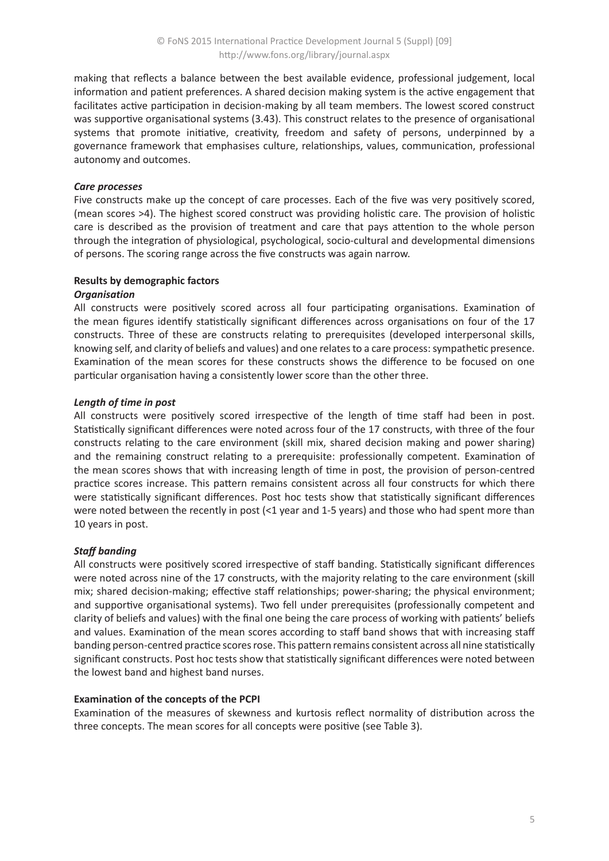making that reflects a balance between the best available evidence, professional judgement, local information and patient preferences. A shared decision making system is the active engagement that facilitates active participation in decision-making by all team members. The lowest scored construct was supportive organisational systems (3.43). This construct relates to the presence of organisational systems that promote initiative, creativity, freedom and safety of persons, underpinned by a governance framework that emphasises culture, relationships, values, communication, professional autonomy and outcomes.

# *Care processes*

Five constructs make up the concept of care processes. Each of the five was very positively scored, (mean scores >4). The highest scored construct was providing holistic care. The provision of holistic care is described as the provision of treatment and care that pays attention to the whole person through the integration of physiological, psychological, socio-cultural and developmental dimensions of persons. The scoring range across the five constructs was again narrow.

#### **Results by demographic factors**

#### *Organisation*

All constructs were positively scored across all four participating organisations. Examination of the mean figures identify statistically significant differences across organisations on four of the 17 constructs. Three of these are constructs relating to prerequisites (developed interpersonal skills, knowing self, and clarity of beliefs and values) and one relates to a care process: sympathetic presence. Examination of the mean scores for these constructs shows the difference to be focused on one particular organisation having a consistently lower score than the other three.

#### *Length of time in post*

All constructs were positively scored irrespective of the length of time staff had been in post. Statistically significant differences were noted across four of the 17 constructs, with three of the four constructs relating to the care environment (skill mix, shared decision making and power sharing) and the remaining construct relating to a prerequisite: professionally competent. Examination of the mean scores shows that with increasing length of time in post, the provision of person-centred practice scores increase. This pattern remains consistent across all four constructs for which there were statistically significant differences. Post hoc tests show that statistically significant differences were noted between the recently in post (<1 year and 1-5 years) and those who had spent more than 10 years in post.

# *Staff banding*

All constructs were positively scored irrespective of staff banding. Statistically significant differences were noted across nine of the 17 constructs, with the majority relating to the care environment (skill mix; shared decision-making; effective staff relationships; power-sharing; the physical environment; and supportive organisational systems). Two fell under prerequisites (professionally competent and clarity of beliefs and values) with the final one being the care process of working with patients' beliefs and values. Examination of the mean scores according to staff band shows that with increasing staff banding person-centred practice scores rose. This pattern remains consistent across all nine statistically significant constructs. Post hoc tests show that statistically significant differences were noted between the lowest band and highest band nurses.

# **Examination of the concepts of the PCPI**

Examination of the measures of skewness and kurtosis reflect normality of distribution across the three concepts. The mean scores for all concepts were positive (see Table 3).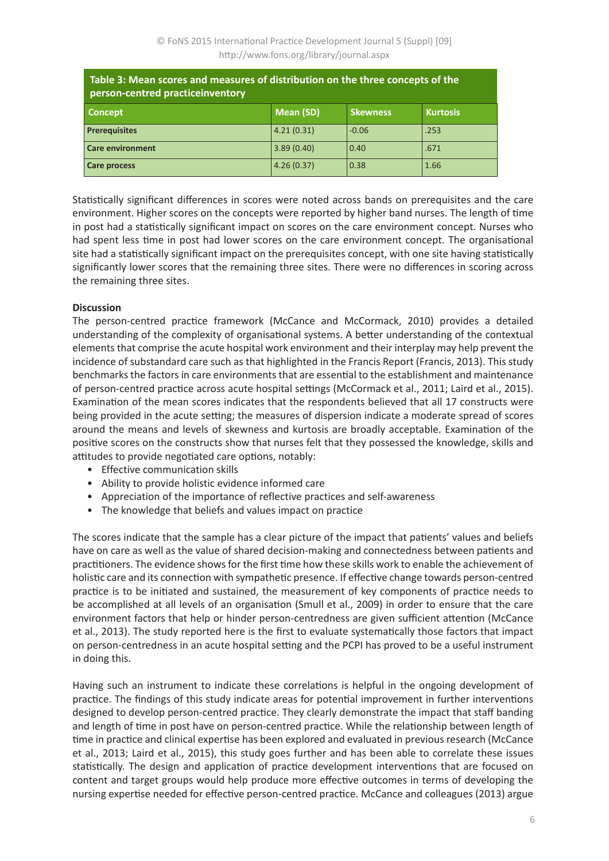| Table 3: Mean scores and measures of distribution on the three concepts of the<br>person-centred practiceinventory |            |                 |                 |  |  |  |
|--------------------------------------------------------------------------------------------------------------------|------------|-----------------|-----------------|--|--|--|
| <b>Concept</b>                                                                                                     | Mean (SD)  | <b>Skewness</b> | <b>Kurtosis</b> |  |  |  |
| <b>Prerequisites</b>                                                                                               | 4.21(0.31) | $-0.06$         | .253            |  |  |  |
| <b>Care environment</b>                                                                                            | 3.89(0.40) | 0.40            | .671            |  |  |  |
| Care process                                                                                                       | 4.26(0.37) | 0.38            | 1.66            |  |  |  |

Statistically significant differences in scores were noted across bands on prerequisites and the care environment. Higher scores on the concepts were reported by higher band nurses. The length of time in post had a statistically significant impact on scores on the care environment concept. Nurses who had spent less time in post had lower scores on the care environment concept. The organisational site had a statistically significant impact on the prerequisites concept, with one site having statistically significantly lower scores that the remaining three sites. There were no differences in scoring across the remaining three sites.

#### **Discussion**

The person-centred practice framework (McCance and McCormack, 2010) provides a detailed understanding of the complexity of organisational systems. A better understanding of the contextual elements that comprise the acute hospital work environment and their interplay may help prevent the incidence of substandard care such as that highlighted in the Francis Report (Francis, 2013). This study benchmarks the factors in care environments that are essential to the establishment and maintenance of person-centred practice across acute hospital settings (McCormack et al., 2011; Laird et al., 2015). Examination of the mean scores indicates that the respondents believed that all 17 constructs were being provided in the acute setting; the measures of dispersion indicate a moderate spread of scores around the means and levels of skewness and kurtosis are broadly acceptable. Examination of the positive scores on the constructs show that nurses felt that they possessed the knowledge, skills and attitudes to provide negotiated care options, notably:

- Effective communication skills
- Ability to provide holistic evidence informed care
- Appreciation of the importance of reflective practices and self-awareness
- The knowledge that beliefs and values impact on practice

The scores indicate that the sample has a clear picture of the impact that patients' values and beliefs have on care as well as the value of shared decision-making and connectedness between patients and practitioners. The evidence shows for the first time how these skills work to enable the achievement of holistic care and its connection with sympathetic presence. If effective change towards person-centred practice is to be initiated and sustained, the measurement of key components of practice needs to be accomplished at all levels of an organisation (Smull et al., 2009) in order to ensure that the care environment factors that help or hinder person-centredness are given sufficient attention (McCance et al., 2013). The study reported here is the first to evaluate systematically those factors that impact on person-centredness in an acute hospital setting and the PCPI has proved to be a useful instrument in doing this.

Having such an instrument to indicate these correlations is helpful in the ongoing development of practice. The findings of this study indicate areas for potential improvement in further interventions designed to develop person-centred practice. They clearly demonstrate the impact that staff banding and length of time in post have on person-centred practice. While the relationship between length of time in practice and clinical expertise has been explored and evaluated in previous research (McCance et al., 2013; Laird et al., 2015), this study goes further and has been able to correlate these issues statistically. The design and application of practice development interventions that are focused on content and target groups would help produce more effective outcomes in terms of developing the nursing expertise needed for effective person-centred practice. McCance and colleagues (2013) argue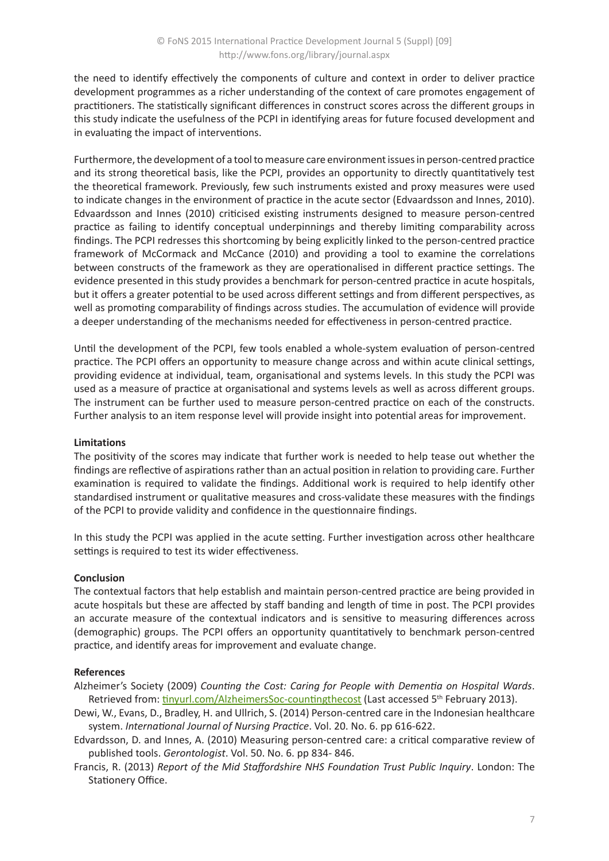the need to identify effectively the components of culture and context in order to deliver practice development programmes as a richer understanding of the context of care promotes engagement of practitioners. The statistically significant differences in construct scores across the different groups in this study indicate the usefulness of the PCPI in identifying areas for future focused development and in evaluating the impact of interventions.

Furthermore, the development of a tool to measure care environment issues in person-centred practice and its strong theoretical basis, like the PCPI, provides an opportunity to directly quantitatively test the theoretical framework. Previously, few such instruments existed and proxy measures were used to indicate changes in the environment of practice in the acute sector (Edvaardsson and Innes, 2010). Edvaardsson and Innes (2010) criticised existing instruments designed to measure person-centred practice as failing to identify conceptual underpinnings and thereby limiting comparability across findings. The PCPI redresses this shortcoming by being explicitly linked to the person-centred practice framework of McCormack and McCance (2010) and providing a tool to examine the correlations between constructs of the framework as they are operationalised in different practice settings. The evidence presented in this study provides a benchmark for person-centred practice in acute hospitals, but it offers a greater potential to be used across different settings and from different perspectives, as well as promoting comparability of findings across studies. The accumulation of evidence will provide a deeper understanding of the mechanisms needed for effectiveness in person-centred practice.

Until the development of the PCPI, few tools enabled a whole-system evaluation of person-centred practice. The PCPI offers an opportunity to measure change across and within acute clinical settings, providing evidence at individual, team, organisational and systems levels. In this study the PCPI was used as a measure of practice at organisational and systems levels as well as across different groups. The instrument can be further used to measure person-centred practice on each of the constructs. Further analysis to an item response level will provide insight into potential areas for improvement.

# **Limitations**

The positivity of the scores may indicate that further work is needed to help tease out whether the findings are reflective of aspirations rather than an actual position in relation to providing care. Further examination is required to validate the findings. Additional work is required to help identify other standardised instrument or qualitative measures and cross-validate these measures with the findings of the PCPI to provide validity and confidence in the questionnaire findings.

In this study the PCPI was applied in the acute setting. Further investigation across other healthcare settings is required to test its wider effectiveness.

#### **Conclusion**

The contextual factors that help establish and maintain person-centred practice are being provided in acute hospitals but these are affected by staff banding and length of time in post. The PCPI provides an accurate measure of the contextual indicators and is sensitive to measuring differences across (demographic) groups. The PCPI offers an opportunity quantitatively to benchmark person-centred practice, and identify areas for improvement and evaluate change.

# **References**

Alzheimer's Society (2009) *Counting the Cost: Caring for People with Dementia on Hospital Wards*. Retrieved from: [tinyurl.com/AlzheimersSoc-countingthecost](http://tinyurl.com/AlzheimersSoc-countingthecost) (Last accessed 5<sup>th</sup> February 2013).

- Dewi, W., Evans, D., Bradley, H. and Ullrich, S. (2014) Person-centred care in the Indonesian healthcare system. *International Journal of Nursing Practice*. Vol. 20. No. 6. pp 616-622.
- Edvardsson, D. and Innes, A. (2010) Measuring person-centred care: a critical comparative review of published tools. *Gerontologist*. Vol. 50. No. 6. pp 834- 846.
- Francis, R. (2013) *Report of the Mid Staffordshire NHS Foundation Trust Public Inquiry*. London: The Stationery Office.